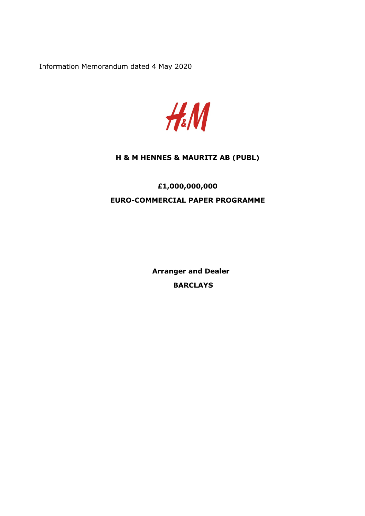Information Memorandum dated 4 May 2020



## **H & M HENNES & MAURITZ AB (PUBL)**

# **£1,000,000,000 EURO-COMMERCIAL PAPER PROGRAMME**

**Arranger and Dealer BARCLAYS**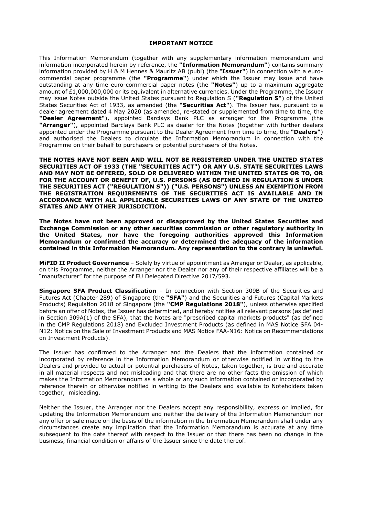#### **IMPORTANT NOTICE**

This Information Memorandum (together with any supplementary information memorandum and information incorporated herein by reference, the **"Information Memorandum"**) contains summary information provided by H & M Hennes & Mauritz AB (publ) (the "**Issuer"**) in connection with a eurocommercial paper programme (the **"Programme"**) under which the Issuer may issue and have outstanding at any time euro-commercial paper notes (the **"Notes"**) up to a maximum aggregate amount of £1,000,000,000 or its equivalent in alternative currencies. Under the Programme, the Issuer may issue Notes outside the United States pursuant to Regulation S (**"Regulation S"**) of the United States Securities Act of 1933, as amended (the **"Securities Act"**). The Issuer has, pursuant to a dealer agreement dated 4 May 2020 (as amended, re-stated or supplemented from time to time, the **"Dealer Agreement"**), appointed Barclays Bank PLC as arranger for the Programme (the **"Arranger"**), appointed Barclays Bank PLC as dealer for the Notes (together with further dealers appointed under the Programme pursuant to the Dealer Agreement from time to time, the **"Dealers"**) and authorised the Dealers to circulate the Information Memorandum in connection with the Programme on their behalf to purchasers or potential purchasers of the Notes.

**THE NOTES HAVE NOT BEEN AND WILL NOT BE REGISTERED UNDER THE UNITED STATES SECURITIES ACT OF 1933 (THE "SECURITIES ACT") OR ANY U.S. STATE SECURITIES LAWS AND MAY NOT BE OFFERED, SOLD OR DELIVERED WITHIN THE UNITED STATES OR TO, OR FOR THE ACCOUNT OR BENEFIT OF, U.S. PERSONS (AS DEFINED IN REGULATION S UNDER THE SECURITIES ACT ("REGULATION S")) ("U.S. PERSONS") UNLESS AN EXEMPTION FROM THE REGISTRATION REQUIREMENTS OF THE SECURITIES ACT IS AVAILABLE AND IN ACCORDANCE WITH ALL APPLICABLE SECURITIES LAWS OF ANY STATE OF THE UNITED STATES AND ANY OTHER JURISDICTION.** 

**The Notes have not been approved or disapproved by the United States Securities and Exchange Commission or any other securities commission or other regulatory authority in the United States, nor have the foregoing authorities approved this Information Memorandum or confirmed the accuracy or determined the adequacy of the information contained in this Information Memorandum. Any representation to the contrary is unlawful.** 

**MiFID II Product Governance** – Solely by virtue of appointment as Arranger or Dealer, as applicable, on this Programme, neither the Arranger nor the Dealer nor any of their respective affiliates will be a "manufacturer" for the purpose of EU Delegated Directive 2017/593.

**Singapore SFA Product Classification** – In connection with Section 309B of the Securities and Futures Act (Chapter 289) of Singapore (the **"SFA"**) and the Securities and Futures (Capital Markets Products) Regulation 2018 of Singapore (the **"CMP Regulations 2018"**), unless otherwise specified before an offer of Notes, the Issuer has determined, and hereby notifies all relevant persons (as defined in Section 309A(1) of the SFA), that the Notes are "prescribed capital markets products" (as defined in the CMP Regulations 2018) and Excluded Investment Products (as defined in MAS Notice SFA 04- N12: Notice on the Sale of Investment Products and MAS Notice FAA-N16: Notice on Recommendations on Investment Products).

The Issuer has confirmed to the Arranger and the Dealers that the information contained or incorporated by reference in the Information Memorandum or otherwise notified in writing to the Dealers and provided to actual or potential purchasers of Notes, taken together, is true and accurate in all material respects and not misleading and that there are no other facts the omission of which makes the Information Memorandum as a whole or any such information contained or incorporated by reference therein or otherwise notified in writing to the Dealers and available to Noteholders taken together, misleading.

Neither the Issuer, the Arranger nor the Dealers accept any responsibility, express or implied, for updating the Information Memorandum and neither the delivery of the Information Memorandum nor any offer or sale made on the basis of the information in the Information Memorandum shall under any circumstances create any implication that the Information Memorandum is accurate at any time subsequent to the date thereof with respect to the Issuer or that there has been no change in the business, financial condition or affairs of the Issuer since the date thereof.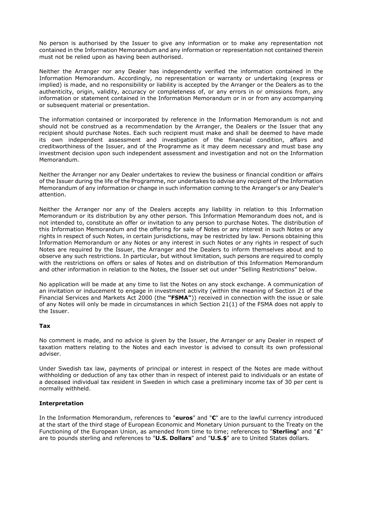No person is authorised by the Issuer to give any information or to make any representation not contained in the Information Memorandum and any information or representation not contained therein must not be relied upon as having been authorised.

Neither the Arranger nor any Dealer has independently verified the information contained in the Information Memorandum. Accordingly, no representation or warranty or undertaking (express or implied) is made, and no responsibility or liability is accepted by the Arranger or the Dealers as to the authenticity, origin, validity, accuracy or completeness of, or any errors in or omissions from, any information or statement contained in the Information Memorandum or in or from any accompanying or subsequent material or presentation.

The information contained or incorporated by reference in the Information Memorandum is not and should not be construed as a recommendation by the Arranger, the Dealers or the Issuer that any recipient should purchase Notes. Each such recipient must make and shall be deemed to have made its own independent assessment and investigation of the financial condition, affairs and creditworthiness of the Issuer, and of the Programme as it may deem necessary and must base any investment decision upon such independent assessment and investigation and not on the Information Memorandum.

Neither the Arranger nor any Dealer undertakes to review the business or financial condition or affairs of the Issuer during the life of the Programme, nor undertakes to advise any recipient of the Information Memorandum of any information or change in such information coming to the Arranger's or any Dealer's attention.

Neither the Arranger nor any of the Dealers accepts any liability in relation to this Information Memorandum or its distribution by any other person. This Information Memorandum does not, and is not intended to, constitute an offer or invitation to any person to purchase Notes. The distribution of this Information Memorandum and the offering for sale of Notes or any interest in such Notes or any rights in respect of such Notes, in certain jurisdictions, may be restricted by law. Persons obtaining this Information Memorandum or any Notes or any interest in such Notes or any rights in respect of such Notes are required by the Issuer, the Arranger and the Dealers to inform themselves about and to observe any such restrictions. In particular, but without limitation, such persons are required to comply with the restrictions on offers or sales of Notes and on distribution of this Information Memorandum and other information in relation to the Notes, the Issuer set out under "Selling Restrictions" below.

No application will be made at any time to list the Notes on any stock exchange. A communication of an invitation or inducement to engage in investment activity (within the meaning of Section 21 of the Financial Services and Markets Act 2000 (the **"FSMA"**)) received in connection with the issue or sale of any Notes will only be made in circumstances in which Section 21(1) of the FSMA does not apply to the Issuer.

## **Tax**

No comment is made, and no advice is given by the Issuer, the Arranger or any Dealer in respect of taxation matters relating to the Notes and each investor is advised to consult its own professional adviser.

Under Swedish tax law, payments of principal or interest in respect of the Notes are made without withholding or deduction of any tax other than in respect of interest paid to individuals or an estate of a deceased individual tax resident in Sweden in which case a preliminary income tax of 30 per cent is normally withheld.

## **Interpretation**

In the Information Memorandum, references to "**euros**" and "**€**" are to the lawful currency introduced at the start of the third stage of European Economic and Monetary Union pursuant to the Treaty on the Functioning of the European Union, as amended from time to time; references to "**Sterling**" and "**£**" are to pounds sterling and references to "**U.S. Dollars**" and "**U.S.\$**" are to United States dollars.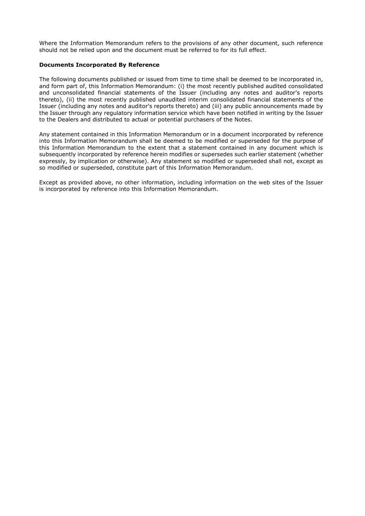Where the Information Memorandum refers to the provisions of any other document, such reference should not be relied upon and the document must be referred to for its full effect.

### **Documents Incorporated By Reference**

The following documents published or issued from time to time shall be deemed to be incorporated in, and form part of, this Information Memorandum: (i) the most recently published audited consolidated and unconsolidated financial statements of the Issuer (including any notes and auditor's reports thereto), (ii) the most recently published unaudited interim consolidated financial statements of the Issuer (including any notes and auditor's reports thereto) and (iii) any public announcements made by the Issuer through any regulatory information service which have been notified in writing by the Issuer to the Dealers and distributed to actual or potential purchasers of the Notes.

Any statement contained in this Information Memorandum or in a document incorporated by reference into this Information Memorandum shall be deemed to be modified or superseded for the purpose of this Information Memorandum to the extent that a statement contained in any document which is subsequently incorporated by reference herein modifies or supersedes such earlier statement (whether expressly, by implication or otherwise). Any statement so modified or superseded shall not, except as so modified or superseded, constitute part of this Information Memorandum.

Except as provided above, no other information, including information on the web sites of the Issuer is incorporated by reference into this Information Memorandum.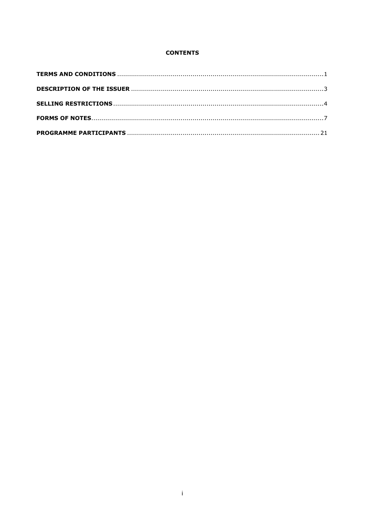## **CONTENTS**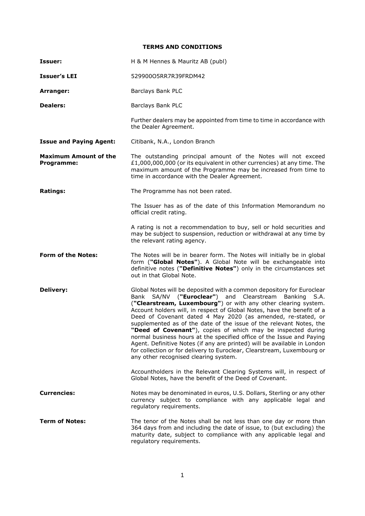## <span id="page-5-0"></span>**TERMS AND CONDITIONS**

| Issuer:                                    | H & M Hennes & Mauritz AB (publ)                                                                                                                                                                                                                                                                                                                                                                                                                                                                                                                                                                                                                                                                                                                                  |  |
|--------------------------------------------|-------------------------------------------------------------------------------------------------------------------------------------------------------------------------------------------------------------------------------------------------------------------------------------------------------------------------------------------------------------------------------------------------------------------------------------------------------------------------------------------------------------------------------------------------------------------------------------------------------------------------------------------------------------------------------------------------------------------------------------------------------------------|--|
| <b>Issuer's LEI</b>                        | 529900O5RR7R39FRDM42                                                                                                                                                                                                                                                                                                                                                                                                                                                                                                                                                                                                                                                                                                                                              |  |
| Arranger:                                  | <b>Barclays Bank PLC</b>                                                                                                                                                                                                                                                                                                                                                                                                                                                                                                                                                                                                                                                                                                                                          |  |
| <b>Dealers:</b>                            | Barclays Bank PLC                                                                                                                                                                                                                                                                                                                                                                                                                                                                                                                                                                                                                                                                                                                                                 |  |
|                                            | Further dealers may be appointed from time to time in accordance with<br>the Dealer Agreement.                                                                                                                                                                                                                                                                                                                                                                                                                                                                                                                                                                                                                                                                    |  |
| <b>Issue and Paying Agent:</b>             | Citibank, N.A., London Branch                                                                                                                                                                                                                                                                                                                                                                                                                                                                                                                                                                                                                                                                                                                                     |  |
| <b>Maximum Amount of the</b><br>Programme: | The outstanding principal amount of the Notes will not exceed<br>£1,000,000,000 (or its equivalent in other currencies) at any time. The<br>maximum amount of the Programme may be increased from time to<br>time in accordance with the Dealer Agreement.                                                                                                                                                                                                                                                                                                                                                                                                                                                                                                        |  |
| <b>Ratings:</b>                            | The Programme has not been rated.                                                                                                                                                                                                                                                                                                                                                                                                                                                                                                                                                                                                                                                                                                                                 |  |
|                                            | The Issuer has as of the date of this Information Memorandum no<br>official credit rating.                                                                                                                                                                                                                                                                                                                                                                                                                                                                                                                                                                                                                                                                        |  |
|                                            | A rating is not a recommendation to buy, sell or hold securities and<br>may be subject to suspension, reduction or withdrawal at any time by<br>the relevant rating agency.                                                                                                                                                                                                                                                                                                                                                                                                                                                                                                                                                                                       |  |
| <b>Form of the Notes:</b>                  | The Notes will be in bearer form. The Notes will initially be in global<br>form ("Global Notes"). A Global Note will be exchangeable into<br>definitive notes ("Definitive Notes") only in the circumstances set<br>out in that Global Note.                                                                                                                                                                                                                                                                                                                                                                                                                                                                                                                      |  |
| <b>Delivery:</b>                           | Global Notes will be deposited with a common depository for Euroclear<br>Bank SA/NV ("Euroclear") and Clearstream<br>Banking<br>S.A.<br>("Clearstream, Luxembourg") or with any other clearing system.<br>Account holders will, in respect of Global Notes, have the benefit of a<br>Deed of Covenant dated 4 May 2020 (as amended, re-stated, or<br>supplemented as of the date of the issue of the relevant Notes, the<br>"Deed of Covenant"), copies of which may be inspected during<br>normal business hours at the specified office of the Issue and Paying<br>Agent. Definitive Notes (if any are printed) will be available in London<br>for collection or for delivery to Euroclear, Clearstream, Luxembourg or<br>any other recognised clearing system. |  |
|                                            | Accountholders in the Relevant Clearing Systems will, in respect of<br>Global Notes, have the benefit of the Deed of Covenant.                                                                                                                                                                                                                                                                                                                                                                                                                                                                                                                                                                                                                                    |  |
| <b>Currencies:</b>                         | Notes may be denominated in euros, U.S. Dollars, Sterling or any other<br>currency subject to compliance with any applicable legal and<br>regulatory requirements.                                                                                                                                                                                                                                                                                                                                                                                                                                                                                                                                                                                                |  |
| <b>Term of Notes:</b>                      | The tenor of the Notes shall be not less than one day or more than<br>364 days from and including the date of issue, to (but excluding) the<br>maturity date, subject to compliance with any applicable legal and<br>regulatory requirements.                                                                                                                                                                                                                                                                                                                                                                                                                                                                                                                     |  |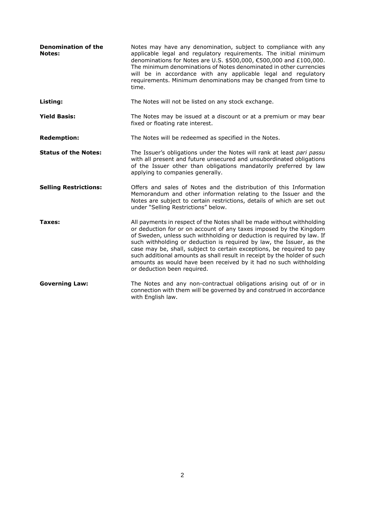| <b>Denomination of the</b><br><b>Notes:</b> | Notes may have any denomination, subject to compliance with any<br>applicable legal and regulatory requirements. The initial minimum<br>denominations for Notes are U.S. \$500,000, €500,000 and £100,000.<br>The minimum denominations of Notes denominated in other currencies<br>will be in accordance with any applicable legal and regulatory<br>requirements. Minimum denominations may be changed from time to<br>time.                                                                                                                          |
|---------------------------------------------|---------------------------------------------------------------------------------------------------------------------------------------------------------------------------------------------------------------------------------------------------------------------------------------------------------------------------------------------------------------------------------------------------------------------------------------------------------------------------------------------------------------------------------------------------------|
| Listing:                                    | The Notes will not be listed on any stock exchange.                                                                                                                                                                                                                                                                                                                                                                                                                                                                                                     |
| <b>Yield Basis:</b>                         | The Notes may be issued at a discount or at a premium or may bear<br>fixed or floating rate interest.                                                                                                                                                                                                                                                                                                                                                                                                                                                   |
| <b>Redemption:</b>                          | The Notes will be redeemed as specified in the Notes.                                                                                                                                                                                                                                                                                                                                                                                                                                                                                                   |
| <b>Status of the Notes:</b>                 | The Issuer's obligations under the Notes will rank at least pari passu<br>with all present and future unsecured and unsubordinated obligations<br>of the Issuer other than obligations mandatorily preferred by law<br>applying to companies generally.                                                                                                                                                                                                                                                                                                 |
| <b>Selling Restrictions:</b>                | Offers and sales of Notes and the distribution of this Information<br>Memorandum and other information relating to the Issuer and the<br>Notes are subject to certain restrictions, details of which are set out<br>under "Selling Restrictions" below.                                                                                                                                                                                                                                                                                                 |
| Taxes:                                      | All payments in respect of the Notes shall be made without withholding<br>or deduction for or on account of any taxes imposed by the Kingdom<br>of Sweden, unless such withholding or deduction is required by law. If<br>such withholding or deduction is required by law, the Issuer, as the<br>case may be, shall, subject to certain exceptions, be required to pay<br>such additional amounts as shall result in receipt by the holder of such<br>amounts as would have been received by it had no such withholding<br>or deduction been required. |
| <b>Governing Law:</b>                       | The Notes and any non-contractual obligations arising out of or in<br>connection with them will be governed by and construed in accordance<br>with English law.                                                                                                                                                                                                                                                                                                                                                                                         |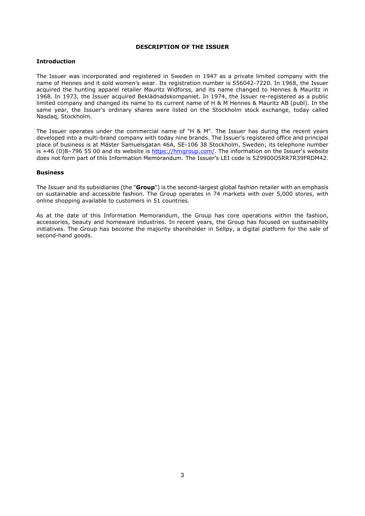#### <span id="page-7-0"></span>**DESCRIPTION OF THE ISSUER**

### **Introduction**

The Issuer was incorporated and registered in Sweden in 1947 as a private limited company with the name of Hennes and it sold women's wear. Its registration number is 556042-7220. In 1968, the Issuer acquired the hunting apparel retailer Mauritz Widforss, and its name changed to Hennes & Mauritz in 1968. In 1973, the Issuer acquired Beklädnadskompaniet. In 1974, the Issuer re-registered as a public limited company and changed its name to its current name of H & M Hennes & Mauritz AB (publ). In the same year, the Issuer's ordinary shares were listed on the Stockholm stock exchange, today called Nasdaq, Stockholm.

The Issuer operates under the commercial name of "H & M". The Issuer has during the recent years developed into a multi-brand company with today nine brands. The Issuer's registered office and principal place of business is at Mäster Samuelsgatan 46A, SE-106 38 Stockholm, Sweden; its telephone number is +46 (0)8-796 55 00 and its website is <https://hmgroup.com/>. The information on the Issuer's website does not form part of this Information Memorandum. The Issuer's LEI code is 529900O5RR7R39FRDM42.

#### **Business**

The Issuer and its subsidiaries (the "**Group**") is the second-largest global fashion retailer with an emphasis on sustainable and accessible fashion. The Group operates in 74 markets with over 5,000 stores, with online shopping available to customers in 51 countries.

As at the date of this Information Memorandum, the Group has core operations within the fashion, accessories, beauty and homeware industries. In recent years, the Group has focused on sustainability initiatives. The Group has become the majority shareholder in Sellpy, a digital platform for the sale of second-hand goods.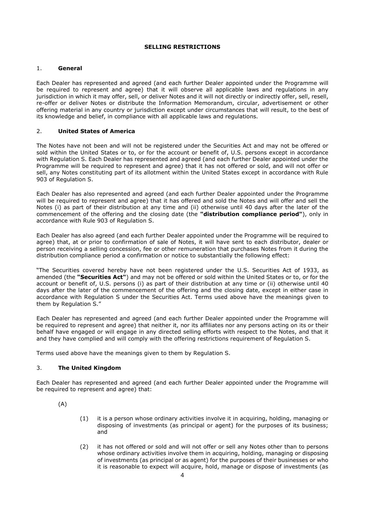## <span id="page-8-0"></span>**SELLING RESTRICTIONS**

## 1. **General**

Each Dealer has represented and agreed (and each further Dealer appointed under the Programme will be required to represent and agree) that it will observe all applicable laws and regulations in any jurisdiction in which it may offer, sell, or deliver Notes and it will not directly or indirectly offer, sell, resell, re-offer or deliver Notes or distribute the Information Memorandum, circular, advertisement or other offering material in any country or jurisdiction except under circumstances that will result, to the best of its knowledge and belief, in compliance with all applicable laws and regulations.

## 2. **United States of America**

The Notes have not been and will not be registered under the Securities Act and may not be offered or sold within the United States or to, or for the account or benefit of, U.S. persons except in accordance with Regulation S. Each Dealer has represented and agreed (and each further Dealer appointed under the Programme will be required to represent and agree) that it has not offered or sold, and will not offer or sell, any Notes constituting part of its allotment within the United States except in accordance with Rule 903 of Regulation S.

Each Dealer has also represented and agreed (and each further Dealer appointed under the Programme will be required to represent and agree) that it has offered and sold the Notes and will offer and sell the Notes (i) as part of their distribution at any time and (ii) otherwise until 40 days after the later of the commencement of the offering and the closing date (the **"distribution compliance period"**), only in accordance with Rule 903 of Regulation S.

Each Dealer has also agreed (and each further Dealer appointed under the Programme will be required to agree) that, at or prior to confirmation of sale of Notes, it will have sent to each distributor, dealer or person receiving a selling concession, fee or other remuneration that purchases Notes from it during the distribution compliance period a confirmation or notice to substantially the following effect:

"The Securities covered hereby have not been registered under the U.S. Securities Act of 1933, as amended (the **"Securities Act"**) and may not be offered or sold within the United States or to, or for the account or benefit of, U.S. persons (i) as part of their distribution at any time or (ii) otherwise until 40 days after the later of the commencement of the offering and the closing date, except in either case in accordance with Regulation S under the Securities Act. Terms used above have the meanings given to them by Regulation S."

Each Dealer has represented and agreed (and each further Dealer appointed under the Programme will be required to represent and agree) that neither it, nor its affiliates nor any persons acting on its or their behalf have engaged or will engage in any directed selling efforts with respect to the Notes, and that it and they have complied and will comply with the offering restrictions requirement of Regulation S.

Terms used above have the meanings given to them by Regulation S.

## 3. **The United Kingdom**

Each Dealer has represented and agreed (and each further Dealer appointed under the Programme will be required to represent and agree) that:

(A)

- (1) it is a person whose ordinary activities involve it in acquiring, holding, managing or disposing of investments (as principal or agent) for the purposes of its business; and
- (2) it has not offered or sold and will not offer or sell any Notes other than to persons whose ordinary activities involve them in acquiring, holding, managing or disposing of investments (as principal or as agent) for the purposes of their businesses or who it is reasonable to expect will acquire, hold, manage or dispose of investments (as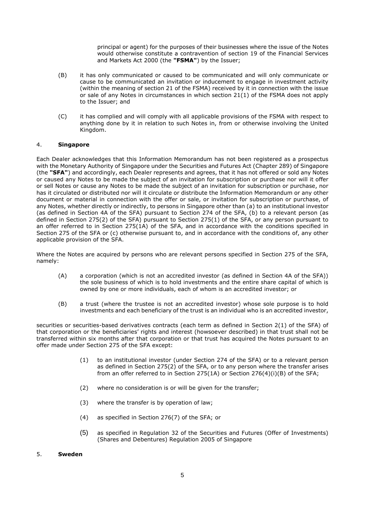principal or agent) for the purposes of their businesses where the issue of the Notes would otherwise constitute a contravention of section 19 of the Financial Services and Markets Act 2000 (the **"FSMA"**) by the Issuer;

- (B) it has only communicated or caused to be communicated and will only communicate or cause to be communicated an invitation or inducement to engage in investment activity (within the meaning of section 21 of the FSMA) received by it in connection with the issue or sale of any Notes in circumstances in which section 21(1) of the FSMA does not apply to the Issuer; and
- (C) it has complied and will comply with all applicable provisions of the FSMA with respect to anything done by it in relation to such Notes in, from or otherwise involving the United Kingdom.

## 4. **Singapore**

Each Dealer acknowledges that this Information Memorandum has not been registered as a prospectus with the Monetary Authority of Singapore under the Securities and Futures Act (Chapter 289) of Singapore (the **"SFA"**) and accordingly, each Dealer represents and agrees, that it has not offered or sold any Notes or caused any Notes to be made the subject of an invitation for subscription or purchase nor will it offer or sell Notes or cause any Notes to be made the subject of an invitation for subscription or purchase, nor has it circulated or distributed nor will it circulate or distribute the Information Memorandum or any other document or material in connection with the offer or sale, or invitation for subscription or purchase, of any Notes, whether directly or indirectly, to persons in Singapore other than (a) to an institutional investor (as defined in Section 4A of the SFA) pursuant to Section 274 of the SFA, (b) to a relevant person (as defined in Section 275(2) of the SFA) pursuant to Section 275(1) of the SFA, or any person pursuant to an offer referred to in Section 275(1A) of the SFA, and in accordance with the conditions specified in Section 275 of the SFA or (c) otherwise pursuant to, and in accordance with the conditions of, any other applicable provision of the SFA.

Where the Notes are acquired by persons who are relevant persons specified in Section 275 of the SFA, namely:

- (A) a corporation (which is not an accredited investor (as defined in Section 4A of the SFA)) the sole business of which is to hold investments and the entire share capital of which is owned by one or more individuals, each of whom is an accredited investor; or
- (B) a trust (where the trustee is not an accredited investor) whose sole purpose is to hold investments and each beneficiary of the trust is an individual who is an accredited investor,

securities or securities-based derivatives contracts (each term as defined in Section 2(1) of the SFA) of that corporation or the beneficiaries' rights and interest (howsoever described) in that trust shall not be transferred within six months after that corporation or that trust has acquired the Notes pursuant to an offer made under Section 275 of the SFA except:

- (1) to an institutional investor (under Section 274 of the SFA) or to a relevant person as defined in Section 275(2) of the SFA, or to any person where the transfer arises from an offer referred to in Section 275(1A) or Section 276(4)(i)(B) of the SFA;
- (2) where no consideration is or will be given for the transfer;
- (3) where the transfer is by operation of law;
- (4) as specified in Section 276(7) of the SFA; or
- (5) as specified in Regulation 32 of the Securities and Futures (Offer of Investments) (Shares and Debentures) Regulation 2005 of Singapore

#### 5. **Sweden**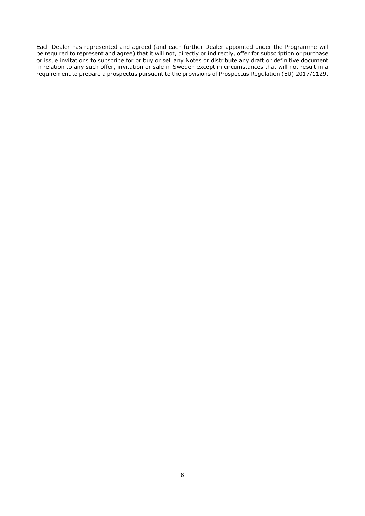Each Dealer has represented and agreed (and each further Dealer appointed under the Programme will be required to represent and agree) that it will not, directly or indirectly, offer for subscription or purchase or issue invitations to subscribe for or buy or sell any Notes or distribute any draft or definitive document in relation to any such offer, invitation or sale in Sweden except in circumstances that will not result in a requirement to prepare a prospectus pursuant to the provisions of Prospectus Regulation (EU) 2017/1129.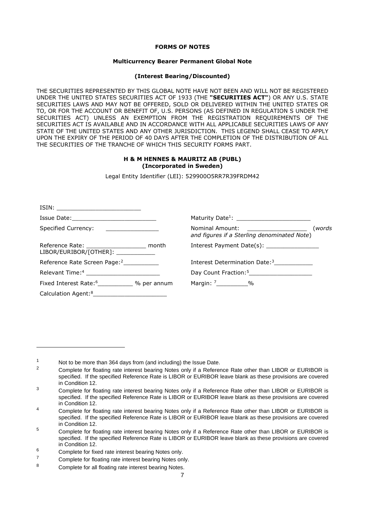## <span id="page-11-1"></span>**FORMS OF NOTES**

#### **Multicurrency Bearer Permanent Global Note**

#### **(Interest Bearing/Discounted)**

<span id="page-11-0"></span>THE SECURITIES REPRESENTED BY THIS GLOBAL NOTE HAVE NOT BEEN AND WILL NOT BE REGISTERED UNDER THE UNITED STATES SECURITIES ACT OF 1933 (THE **"SECURITIES ACT"**) OR ANY U.S. STATE SECURITIES LAWS AND MAY NOT BE OFFERED, SOLD OR DELIVERED WITHIN THE UNITED STATES OR TO, OR FOR THE ACCOUNT OR BENEFIT OF, U.S. PERSONS (AS DEFINED IN REGULATION S UNDER THE SECURITIES ACT) UNLESS AN EXEMPTION FROM THE REGISTRATION REQUIREMENTS OF THE SECURITIES ACT IS AVAILABLE AND IN ACCORDANCE WITH ALL APPLICABLE SECURITIES LAWS OF ANY STATE OF THE UNITED STATES AND ANY OTHER JURISDICTION. THIS LEGEND SHALL CEASE TO APPLY UPON THE EXPIRY OF THE PERIOD OF 40 DAYS AFTER THE COMPLETION OF THE DISTRIBUTION OF ALL THE SECURITIES OF THE TRANCHE OF WHICH THIS SECURITY FORMS PART.

## **H & M HENNES & MAURITZ AB (PUBL) (Incorporated in Sweden)**

Legal Entity Identifier (LEI): 529900O5RR7R39FRDM42

| Specified Currency: ________________                                                 | (words<br>and figures if a Sterling denominated Note)    |
|--------------------------------------------------------------------------------------|----------------------------------------------------------|
| Reference Rate: _______________________ month<br>LIBOR/EURIBOR/[OTHER]: ____________ | Interest Payment Date(s): _________________              |
| Reference Rate Screen Page: <sup>2</sup>                                             | Interest Determination Date: <sup>3</sup>                |
| Relevant Time: <sup>4</sup> ________________________                                 | Day Count Fraction: <sup>5</sup> _______________________ |
| Fixed Interest Rate: <sup>6</sup> ____________ % per annum                           | Margin: 7___________%                                    |
| Calculation Agent: <sup>8</sup> _____________________________                        |                                                          |

<span id="page-11-3"></span><span id="page-11-2"></span><sup>1</sup> Not to be more than 364 days from (and including) the Issue Date.

<sup>2</sup> Complete for floating rate interest bearing Notes only if a Reference Rate other than LIBOR or EURIBOR is specified. If the specified Reference Rate is LIBOR or EURIBOR leave blank as these provisions are covered in Condition 12.

<span id="page-11-4"></span><sup>&</sup>lt;sup>3</sup> Complete for floating rate interest bearing Notes only if a Reference Rate other than LIBOR or EURIBOR is specified. If the specified Reference Rate is LIBOR or EURIBOR leave blank as these provisions are covered in Condition 12.

<span id="page-11-5"></span><sup>&</sup>lt;sup>4</sup> Complete for floating rate interest bearing Notes only if a Reference Rate other than LIBOR or EURIBOR is specified. If the specified Reference Rate is LIBOR or EURIBOR leave blank as these provisions are covered in Condition 12.

<span id="page-11-6"></span><sup>&</sup>lt;sup>5</sup> Complete for floating rate interest bearing Notes only if a Reference Rate other than LIBOR or EURIBOR is specified. If the specified Reference Rate is LIBOR or EURIBOR leave blank as these provisions are covered in Condition 12.

<span id="page-11-8"></span><span id="page-11-7"></span> $^6$  Complete for fixed rate interest bearing Notes only.

<span id="page-11-9"></span> $7 \tComplete for floating rate interest bearing Notes only.$ 

Complete for all floating rate interest bearing Notes.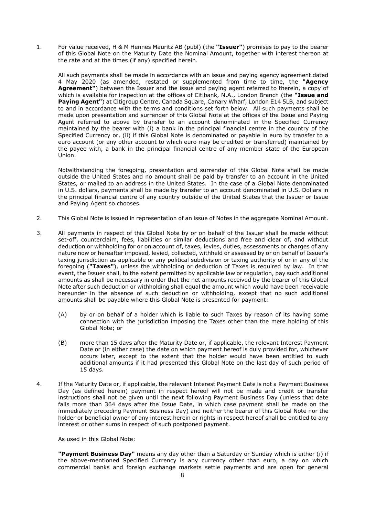1. For value received, H & M Hennes Mauritz AB (publ) (the **"Issuer"**) promises to pay to the bearer of this Global Note on the Maturity Date the Nominal Amount, together with interest thereon at the rate and at the times (if any) specified herein.

All such payments shall be made in accordance with an issue and paying agency agreement dated 4 May 2020 (as amended, restated or supplemented from time to time, the **"Agency Agreement"**) between the Issuer and the issue and paying agent referred to therein, a copy of which is available for inspection at the offices of Citibank, N.A., London Branch (the **"Issue and Paying Agent"**) at Citigroup Centre, Canada Square, Canary Wharf, London E14 5LB, and subject to and in accordance with the terms and conditions set forth below. All such payments shall be made upon presentation and surrender of this Global Note at the offices of the Issue and Paying Agent referred to above by transfer to an account denominated in the Specified Currency maintained by the bearer with (i) a bank in the principal financial centre in the country of the Specified Currency or, (ii) if this Global Note is denominated or payable in euro by transfer to a euro account (or any other account to which euro may be credited or transferred) maintained by the payee with, a bank in the principal financial centre of any member state of the European Union.

Notwithstanding the foregoing, presentation and surrender of this Global Note shall be made outside the United States and no amount shall be paid by transfer to an account in the United States, or mailed to an address in the United States. In the case of a Global Note denominated in U.S. dollars, payments shall be made by transfer to an account denominated in U.S. Dollars in the principal financial centre of any country outside of the United States that the Issuer or Issue and Paying Agent so chooses.

- 2. This Global Note is issued in representation of an issue of Notes in the aggregate Nominal Amount.
- 3. All payments in respect of this Global Note by or on behalf of the Issuer shall be made without set-off, counterclaim, fees, liabilities or similar deductions and free and clear of, and without deduction or withholding for or on account of, taxes, levies, duties, assessments or charges of any nature now or hereafter imposed, levied, collected, withheld or assessed by or on behalf of Issuer's taxing jurisdiction as applicable or any political subdivision or taxing authority of or in any of the foregoing (**"Taxes"**), unless the withholding or deduction of Taxes is required by law. In that event, the Issuer shall, to the extent permitted by applicable law or regulation, pay such additional amounts as shall be necessary in order that the net amounts received by the bearer of this Global Note after such deduction or withholding shall equal the amount which would have been receivable hereunder in the absence of such deduction or withholding, except that no such additional amounts shall be payable where this Global Note is presented for payment:
	- (A) by or on behalf of a holder which is liable to such Taxes by reason of its having some connection with the jurisdiction imposing the Taxes other than the mere holding of this Global Note; or
	- (B) more than 15 days after the Maturity Date or, if applicable, the relevant Interest Payment Date or (in either case) the date on which payment hereof is duly provided for, whichever occurs later, except to the extent that the holder would have been entitled to such additional amounts if it had presented this Global Note on the last day of such period of 15 days.
- 4. If the Maturity Date or, if applicable, the relevant Interest Payment Date is not a Payment Business Day (as defined herein) payment in respect hereof will not be made and credit or transfer instructions shall not be given until the next following Payment Business Day (unless that date falls more than 364 days after the Issue Date, in which case payment shall be made on the immediately preceding Payment Business Day) and neither the bearer of this Global Note nor the holder or beneficial owner of any interest herein or rights in respect hereof shall be entitled to any interest or other sums in respect of such postponed payment.

As used in this Global Note:

**"Payment Business Day"** means any day other than a Saturday or Sunday which is either (i) if the above-mentioned Specified Currency is any currency other than euro, a day on which commercial banks and foreign exchange markets settle payments and are open for general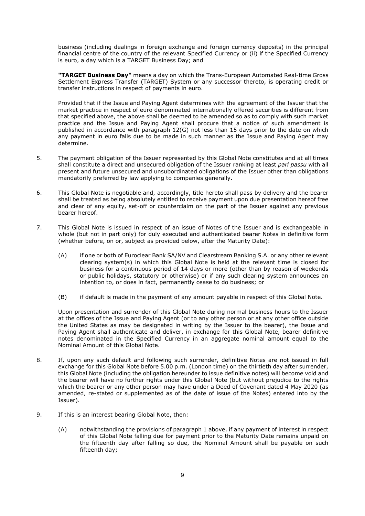business (including dealings in foreign exchange and foreign currency deposits) in the principal financial centre of the country of the relevant Specified Currency or (ii) if the Specified Currency is euro, a day which is a TARGET Business Day; and

**"TARGET Business Day"** means a day on which the Trans-European Automated Real-time Gross Settlement Express Transfer (TARGET) System or any successor thereto, is operating credit or transfer instructions in respect of payments in euro.

Provided that if the Issue and Paying Agent determines with the agreement of the Issuer that the market practice in respect of euro denominated internationally offered securities is different from that specified above, the above shall be deemed to be amended so as to comply with such market practice and the Issue and Paying Agent shall procure that a notice of such amendment is published in accordance with paragraph 12(G) not less than 15 days prior to the date on which any payment in euro falls due to be made in such manner as the Issue and Paying Agent may determine.

- 5. The payment obligation of the Issuer represented by this Global Note constitutes and at all times shall constitute a direct and unsecured obligation of the Issuer ranking at least *pari passu* with all present and future unsecured and unsubordinated obligations of the Issuer other than obligations mandatorily preferred by law applying to companies generally.
- 6. This Global Note is negotiable and, accordingly, title hereto shall pass by delivery and the bearer shall be treated as being absolutely entitled to receive payment upon due presentation hereof free and clear of any equity, set-off or counterclaim on the part of the Issuer against any previous bearer hereof.
- 7. This Global Note is issued in respect of an issue of Notes of the Issuer and is exchangeable in whole (but not in part only) for duly executed and authenticated bearer Notes in definitive form (whether before, on or, subject as provided below, after the Maturity Date):
	- (A) if one or both of Euroclear Bank SA/NV and Clearstream Banking S.A. or any other relevant clearing system(s) in which this Global Note is held at the relevant time is closed for business for a continuous period of 14 days or more (other than by reason of weekends or public holidays, statutory or otherwise) or if any such clearing system announces an intention to, or does in fact, permanently cease to do business; or
	- (B) if default is made in the payment of any amount payable in respect of this Global Note.

Upon presentation and surrender of this Global Note during normal business hours to the Issuer at the offices of the Issue and Paying Agent (or to any other person or at any other office outside the United States as may be designated in writing by the Issuer to the bearer), the Issue and Paying Agent shall authenticate and deliver, in exchange for this Global Note, bearer definitive notes denominated in the Specified Currency in an aggregate nominal amount equal to the Nominal Amount of this Global Note.

- 8. If, upon any such default and following such surrender, definitive Notes are not issued in full exchange for this Global Note before 5.00 p.m. (London time) on the thirtieth day after surrender, this Global Note (including the obligation hereunder to issue definitive notes) will become void and the bearer will have no further rights under this Global Note (but without prejudice to the rights which the bearer or any other person may have under a Deed of Covenant dated 4 May 2020 (as amended, re-stated or supplemented as of the date of issue of the Notes) entered into by the Issuer).
- 9. If this is an interest bearing Global Note, then:
	- (A) notwithstanding the provisions of paragraph 1 above, if any payment of interest in respect of this Global Note falling due for payment prior to the Maturity Date remains unpaid on the fifteenth day after falling so due, the Nominal Amount shall be payable on such fifteenth day;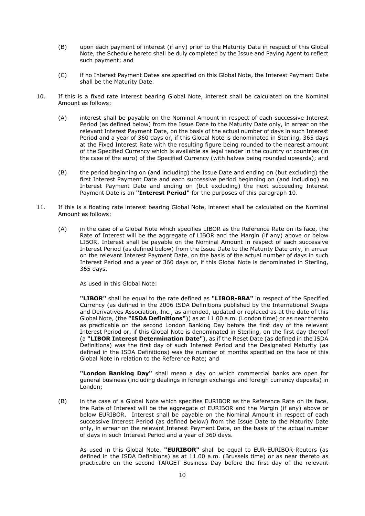- (B) upon each payment of interest (if any) prior to the Maturity Date in respect of this Global Note, the Schedule hereto shall be duly completed by the Issue and Paying Agent to reflect such payment; and
- (C) if no Interest Payment Dates are specified on this Global Note, the Interest Payment Date shall be the Maturity Date.
- 10. If this is a fixed rate interest bearing Global Note, interest shall be calculated on the Nominal Amount as follows:
	- (A) interest shall be payable on the Nominal Amount in respect of each successive Interest Period (as defined below) from the Issue Date to the Maturity Date only, in arrear on the relevant Interest Payment Date, on the basis of the actual number of days in such Interest Period and a year of 360 days or, if this Global Note is denominated in Sterling, 365 days at the Fixed Interest Rate with the resulting figure being rounded to the nearest amount of the Specified Currency which is available as legal tender in the country or countries (in the case of the euro) of the Specified Currency (with halves being rounded upwards); and
	- (B) the period beginning on (and including) the Issue Date and ending on (but excluding) the first Interest Payment Date and each successive period beginning on (and including) an Interest Payment Date and ending on (but excluding) the next succeeding Interest Payment Date is an **"Interest Period"** for the purposes of this paragraph 10.
- 11. If this is a floating rate interest bearing Global Note, interest shall be calculated on the Nominal Amount as follows:
	- (A) in the case of a Global Note which specifies LIBOR as the Reference Rate on its face, the Rate of Interest will be the aggregate of LIBOR and the Margin (if any) above or below LIBOR. Interest shall be payable on the Nominal Amount in respect of each successive Interest Period (as defined below) from the Issue Date to the Maturity Date only, in arrear on the relevant Interest Payment Date, on the basis of the actual number of days in such Interest Period and a year of 360 days or, if this Global Note is denominated in Sterling, 365 days.

As used in this Global Note:

**"LIBOR"** shall be equal to the rate defined as **"LIBOR-BBA"** in respect of the Specified Currency (as defined in the 2006 ISDA Definitions published by the International Swaps and Derivatives Association, Inc., as amended, updated or replaced as at the date of this Global Note, (the **"ISDA Definitions"**)) as at 11.00 a.m. (London time) or as near thereto as practicable on the second London Banking Day before the first day of the relevant Interest Period or, if this Global Note is denominated in Sterling, on the first day thereof (a **"LIBOR Interest Determination Date"**), as if the Reset Date (as defined in the ISDA Definitions) was the first day of such Interest Period and the Designated Maturity (as defined in the ISDA Definitions) was the number of months specified on the face of this Global Note in relation to the Reference Rate; and

**"London Banking Day"** shall mean a day on which commercial banks are open for general business (including dealings in foreign exchange and foreign currency deposits) in London;

(B) in the case of a Global Note which specifies EURIBOR as the Reference Rate on its face, the Rate of Interest will be the aggregate of EURIBOR and the Margin (if any) above or below EURIBOR. Interest shall be payable on the Nominal Amount in respect of each successive Interest Period (as defined below) from the Issue Date to the Maturity Date only, in arrear on the relevant Interest Payment Date, on the basis of the actual number of days in such Interest Period and a year of 360 days.

As used in this Global Note, **"EURIBOR"** shall be equal to EUR-EURIBOR-Reuters (as defined in the ISDA Definitions) as at 11.00 a.m. (Brussels time) or as near thereto as practicable on the second TARGET Business Day before the first day of the relevant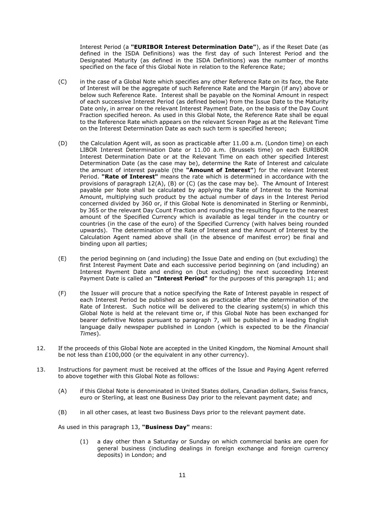Interest Period (a **"EURIBOR Interest Determination Date"**), as if the Reset Date (as defined in the ISDA Definitions) was the first day of such Interest Period and the Designated Maturity (as defined in the ISDA Definitions) was the number of months specified on the face of this Global Note in relation to the Reference Rate;

- (C) in the case of a Global Note which specifies any other Reference Rate on its face, the Rate of Interest will be the aggregate of such Reference Rate and the Margin (if any) above or below such Reference Rate. Interest shall be payable on the Nominal Amount in respect of each successive Interest Period (as defined below) from the Issue Date to the Maturity Date only, in arrear on the relevant Interest Payment Date, on the basis of the Day Count Fraction specified hereon. As used in this Global Note, the Reference Rate shall be equal to the Reference Rate which appears on the relevant Screen Page as at the Relevant Time on the Interest Determination Date as each such term is specified hereon;
- (D) the Calculation Agent will, as soon as practicable after 11.00 a.m. (London time) on each LIBOR Interest Determination Date or 11.00 a.m. (Brussels time) on each EURIBOR Interest Determination Date or at the Relevant Time on each other specified Interest Determination Date (as the case may be), determine the Rate of Interest and calculate the amount of interest payable (the **"Amount of Interest"**) for the relevant Interest Period. **"Rate of Interest"** means the rate which is determined in accordance with the provisions of paragraph 12(A), (B) or (C) (as the case may be). The Amount of Interest payable per Note shall be calculated by applying the Rate of Interest to the Nominal Amount, multiplying such product by the actual number of days in the Interest Period concerned divided by 360 or, if this Global Note is denominated in Sterling or Renminbi, by 365 or the relevant Day Count Fraction and rounding the resulting figure to the nearest amount of the Specified Currency which is available as legal tender in the country or countries (in the case of the euro) of the Specified Currency (with halves being rounded upwards). The determination of the Rate of Interest and the Amount of Interest by the Calculation Agent named above shall (in the absence of manifest error) be final and binding upon all parties;
- (E) the period beginning on (and including) the Issue Date and ending on (but excluding) the first Interest Payment Date and each successive period beginning on (and including) an Interest Payment Date and ending on (but excluding) the next succeeding Interest Payment Date is called an **"Interest Period"** for the purposes of this paragraph 11; and
- (F) the Issuer will procure that a notice specifying the Rate of Interest payable in respect of each Interest Period be published as soon as practicable after the determination of the Rate of Interest. Such notice will be delivered to the clearing system(s) in which this Global Note is held at the relevant time or, if this Global Note has been exchanged for bearer definitive Notes pursuant to paragraph 7, will be published in a leading English language daily newspaper published in London (which is expected to be the *Financial Times*).
- 12. If the proceeds of this Global Note are accepted in the United Kingdom, the Nominal Amount shall be not less than £100,000 (or the equivalent in any other currency).
- 13. Instructions for payment must be received at the offices of the Issue and Paying Agent referred to above together with this Global Note as follows:
	- (A) if this Global Note is denominated in United States dollars, Canadian dollars, Swiss francs, euro or Sterling, at least one Business Day prior to the relevant payment date; and
	- (B) in all other cases, at least two Business Days prior to the relevant payment date.

As used in this paragraph 13, **"Business Day"** means:

(1) a day other than a Saturday or Sunday on which commercial banks are open for general business (including dealings in foreign exchange and foreign currency deposits) in London; and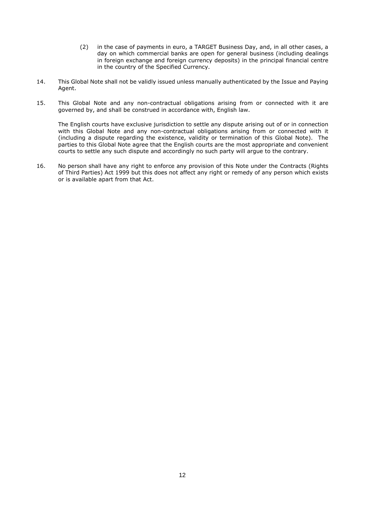- (2) in the case of payments in euro, a TARGET Business Day, and, in all other cases, a day on which commercial banks are open for general business (including dealings in foreign exchange and foreign currency deposits) in the principal financial centre in the country of the Specified Currency.
- 14. This Global Note shall not be validly issued unless manually authenticated by the Issue and Paying Agent.
- 15. This Global Note and any non-contractual obligations arising from or connected with it are governed by, and shall be construed in accordance with, English law.

The English courts have exclusive jurisdiction to settle any dispute arising out of or in connection with this Global Note and any non-contractual obligations arising from or connected with it (including a dispute regarding the existence, validity or termination of this Global Note). The parties to this Global Note agree that the English courts are the most appropriate and convenient courts to settle any such dispute and accordingly no such party will argue to the contrary.

16. No person shall have any right to enforce any provision of this Note under the Contracts (Rights of Third Parties) Act 1999 but this does not affect any right or remedy of any person which exists or is available apart from that Act.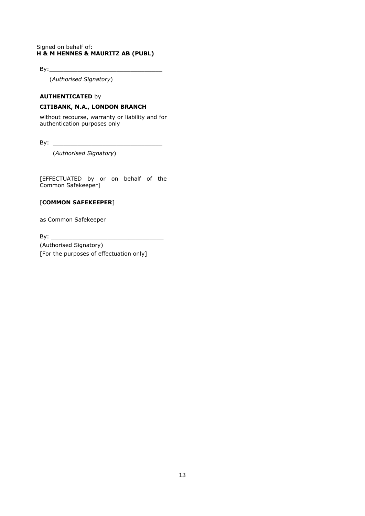## Signed on behalf of: **H & M HENNES & MAURITZ AB (PUBL)**

 $By:$ 

(*Authorised Signatory*)

## **AUTHENTICATED** by

## **CITIBANK, N.A., LONDON BRANCH**

without recourse, warranty or liability and for authentication purposes only

By:  $\frac{1}{\sqrt{2}}$ 

(*Authorised Signatory*)

[EFFECTUATED by or on behalf of the Common Safekeeper]

## [**COMMON SAFEKEEPER**]

as Common Safekeeper

 $By:$ 

(Authorised Signatory) [For the purposes of effectuation only]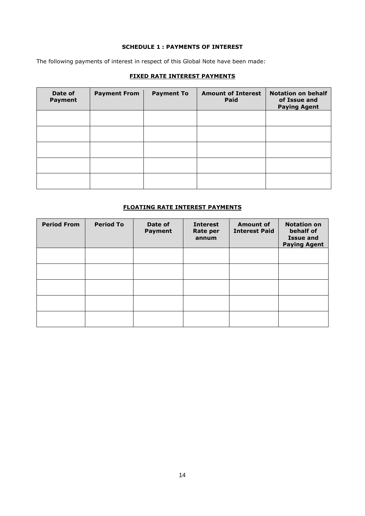## **SCHEDULE 1 : PAYMENTS OF INTEREST**

The following payments of interest in respect of this Global Note have been made:

## **FIXED RATE INTEREST PAYMENTS**

| Date of<br><b>Payment</b> | <b>Payment From</b> | <b>Payment To</b> | <b>Amount of Interest</b><br>Paid | <b>Notation on behalf</b><br>of Issue and<br><b>Paying Agent</b> |
|---------------------------|---------------------|-------------------|-----------------------------------|------------------------------------------------------------------|
|                           |                     |                   |                                   |                                                                  |
|                           |                     |                   |                                   |                                                                  |
|                           |                     |                   |                                   |                                                                  |
|                           |                     |                   |                                   |                                                                  |
|                           |                     |                   |                                   |                                                                  |

## **FLOATING RATE INTEREST PAYMENTS**

| <b>Period From</b> | <b>Period To</b> | Date of<br><b>Payment</b> | <b>Interest</b><br><b>Rate per</b><br>annum | <b>Amount of</b><br><b>Interest Paid</b> | <b>Notation on</b><br>behalf of<br><b>Issue and</b><br><b>Paying Agent</b> |
|--------------------|------------------|---------------------------|---------------------------------------------|------------------------------------------|----------------------------------------------------------------------------|
|                    |                  |                           |                                             |                                          |                                                                            |
|                    |                  |                           |                                             |                                          |                                                                            |
|                    |                  |                           |                                             |                                          |                                                                            |
|                    |                  |                           |                                             |                                          |                                                                            |
|                    |                  |                           |                                             |                                          |                                                                            |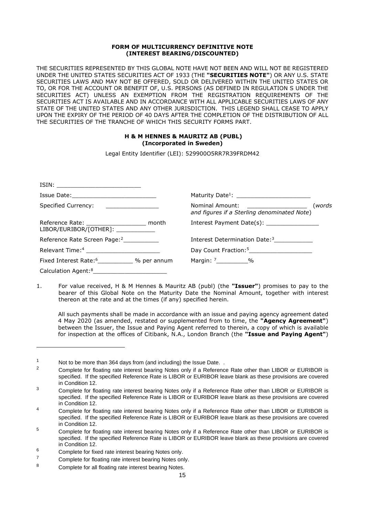### **FORM OF MULTICURRENCY DEFINITIVE NOTE (INTEREST BEARING/DISCOUNTED)**

THE SECURITIES REPRESENTED BY THIS GLOBAL NOTE HAVE NOT BEEN AND WILL NOT BE REGISTERED UNDER THE UNITED STATES SECURITIES ACT OF 1933 (THE **"SECURITIES NOTE"**) OR ANY U.S. STATE SECURITIES LAWS AND MAY NOT BE OFFERED, SOLD OR DELIVERED WITHIN THE UNITED STATES OR TO, OR FOR THE ACCOUNT OR BENEFIT OF, U.S. PERSONS (AS DEFINED IN REGULATION S UNDER THE SECURITIES ACT) UNLESS AN EXEMPTION FROM THE REGISTRATION REQUIREMENTS OF THE SECURITIES ACT IS AVAILABLE AND IN ACCORDANCE WITH ALL APPLICABLE SECURITIES LAWS OF ANY STATE OF THE UNITED STATES AND ANY OTHER JURISDICTION. THIS LEGEND SHALL CEASE TO APPLY UPON THE EXPIRY OF THE PERIOD OF 40 DAYS AFTER THE COMPLETION OF THE DISTRIBUTION OF ALL THE SECURITIES OF THE TRANCHE OF WHICH THIS SECURITY FORMS PART.

## **H & M HENNES & MAURITZ AB (PUBL) (Incorporated in Sweden)**

Legal Entity Identifier (LEI): 529900O5RR7R39FRDM42

|                                                                                                                                             | Maturity Date <sup>1</sup> : __________________________                                      |
|---------------------------------------------------------------------------------------------------------------------------------------------|----------------------------------------------------------------------------------------------|
| Specified Currency:<br><u> 1986 - Jan Barbarat, prima prima prima prima prima prima prima prima prima prima prima prima prima prima pri</u> | Nominal Amount: ___________________<br>(words<br>and figures if a Sterling denominated Note) |
| Reference Rate: ________________________ month<br>$LIBOR/EURIBOR/[OTHER]:$ _____________                                                    | Interest Payment Date(s): ________________                                                   |
| Reference Rate Screen Page: <sup>2</sup>                                                                                                    | Interest Determination Date: <sup>3</sup>                                                    |
| Relevant Time: <sup>4</sup>                                                                                                                 |                                                                                              |
| Fixed Interest Rate: <sup>6</sup> % per annum                                                                                               | Margin: 7___________%                                                                        |
| Calculation Agent: <sup>8</sup>                                                                                                             |                                                                                              |

1. For value received, H & M Hennes & Mauritz AB (publ) (the **"Issuer"**) promises to pay to the bearer of this Global Note on the Maturity Date the Nominal Amount, together with interest thereon at the rate and at the times (if any) specified herein.

All such payments shall be made in accordance with an issue and paying agency agreement dated 4 May 2020 (as amended, restated or supplemented from to time, the **"Agency Agreement"**) between the Issuer, the Issue and Paying Agent referred to therein, a copy of which is available for inspection at the offices of Citibank, N.A., London Branch (the **"Issue and Paying Agent"**)

<span id="page-19-1"></span><span id="page-19-0"></span><sup>1</sup> Not to be more than 364 days from (and including) the Issue Date. .

<sup>2</sup> Complete for floating rate interest bearing Notes only if a Reference Rate other than LIBOR or EURIBOR is specified. If the specified Reference Rate is LIBOR or EURIBOR leave blank as these provisions are covered in Condition 12.

<span id="page-19-2"></span><sup>&</sup>lt;sup>3</sup> Complete for floating rate interest bearing Notes only if a Reference Rate other than LIBOR or EURIBOR is specified. If the specified Reference Rate is LIBOR or EURIBOR leave blank as these provisions are covered in Condition 12.

<span id="page-19-3"></span><sup>&</sup>lt;sup>4</sup> Complete for floating rate interest bearing Notes only if a Reference Rate other than LIBOR or EURIBOR is specified. If the specified Reference Rate is LIBOR or EURIBOR leave blank as these provisions are covered in Condition 12.

<span id="page-19-4"></span><sup>&</sup>lt;sup>5</sup> Complete for floating rate interest bearing Notes only if a Reference Rate other than LIBOR or EURIBOR is specified. If the specified Reference Rate is LIBOR or EURIBOR leave blank as these provisions are covered in Condition 12.

<span id="page-19-6"></span><span id="page-19-5"></span> $^6$  Complete for fixed rate interest bearing Notes only.

<span id="page-19-7"></span> $7 \tComplete for floating rate interest bearing Notes only.$ 

Complete for all floating rate interest bearing Notes.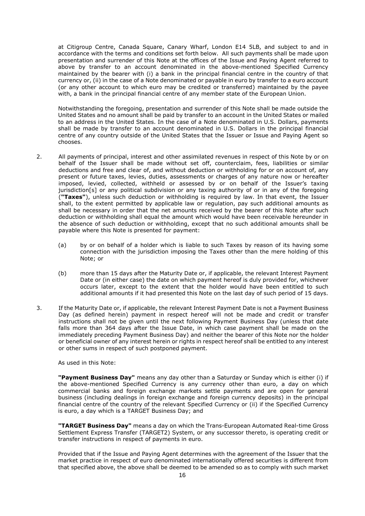at Citigroup Centre, Canada Square, Canary Wharf, London E14 5LB, and subject to and in accordance with the terms and conditions set forth below. All such payments shall be made upon presentation and surrender of this Note at the offices of the Issue and Paying Agent referred to above by transfer to an account denominated in the above-mentioned Specified Currency maintained by the bearer with (i) a bank in the principal financial centre in the country of that currency or, (ii) in the case of a Note denominated or payable in euro by transfer to a euro account (or any other account to which euro may be credited or transferred) maintained by the payee with, a bank in the principal financial centre of any member state of the European Union.

Notwithstanding the foregoing, presentation and surrender of this Note shall be made outside the United States and no amount shall be paid by transfer to an account in the United States or mailed to an address in the United States. In the case of a Note denominated in U.S. Dollars, payments shall be made by transfer to an account denominated in U.S. Dollars in the principal financial centre of any country outside of the United States that the Issuer or Issue and Paying Agent so chooses.

- 2. All payments of principal, interest and other assimilated revenues in respect of this Note by or on behalf of the Issuer shall be made without set off, counterclaim, fees, liabilities or similar deductions and free and clear of, and without deduction or withholding for or on account of, any present or future taxes, levies, duties, assessments or charges of any nature now or hereafter imposed, levied, collected, withheld or assessed by or on behalf of the Issuer's taxing jurisdiction[s] or any political subdivision or any taxing authority of or in any of the foregoing (**"Taxes"**), unless such deduction or withholding is required by law. In that event, the Issuer shall, to the extent permitted by applicable law or regulation, pay such additional amounts as shall be necessary in order that the net amounts received by the bearer of this Note after such deduction or withholding shall equal the amount which would have been receivable hereunder in the absence of such deduction or withholding, except that no such additional amounts shall be payable where this Note is presented for payment:
	- (a) by or on behalf of a holder which is liable to such Taxes by reason of its having some connection with the jurisdiction imposing the Taxes other than the mere holding of this Note; or
	- (b) more than 15 days after the Maturity Date or, if applicable, the relevant Interest Payment Date or (in either case) the date on which payment hereof is duly provided for, whichever occurs later, except to the extent that the holder would have been entitled to such additional amounts if it had presented this Note on the last day of such period of 15 days.
- 3. If the Maturity Date or, if applicable, the relevant Interest Payment Date is not a Payment Business Day (as defined herein) payment in respect hereof will not be made and credit or transfer instructions shall not be given until the next following Payment Business Day (unless that date falls more than 364 days after the Issue Date, in which case payment shall be made on the immediately preceding Payment Business Day) and neither the bearer of this Note nor the holder or beneficial owner of any interest herein or rights in respect hereof shall be entitled to any interest or other sums in respect of such postponed payment.

As used in this Note:

**"Payment Business Day"** means any day other than a Saturday or Sunday which is either (i) if the above-mentioned Specified Currency is any currency other than euro, a day on which commercial banks and foreign exchange markets settle payments and are open for general business (including dealings in foreign exchange and foreign currency deposits) in the principal financial centre of the country of the relevant Specified Currency or (ii) if the Specified Currency is euro, a day which is a TARGET Business Day; and

**"TARGET Business Day"** means a day on which the Trans-European Automated Real-time Gross Settlement Express Transfer (TARGET2) System, or any successor thereto, is operating credit or transfer instructions in respect of payments in euro.

Provided that if the Issue and Paying Agent determines with the agreement of the Issuer that the market practice in respect of euro denominated internationally offered securities is different from that specified above, the above shall be deemed to be amended so as to comply with such market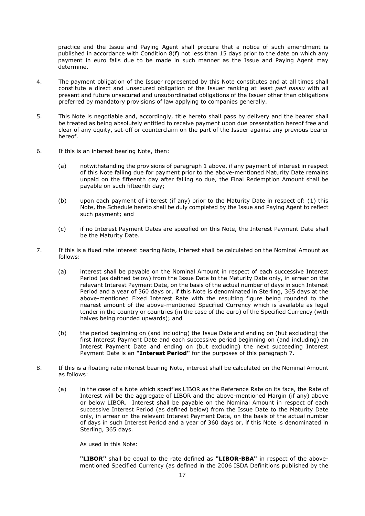practice and the Issue and Paying Agent shall procure that a notice of such amendment is published in accordance with Condition 8(f) not less than 15 days prior to the date on which any payment in euro falls due to be made in such manner as the Issue and Paying Agent may determine.

- 4. The payment obligation of the Issuer represented by this Note constitutes and at all times shall constitute a direct and unsecured obligation of the Issuer ranking at least *pari passu* with all present and future unsecured and unsubordinated obligations of the Issuer other than obligations preferred by mandatory provisions of law applying to companies generally.
- 5. This Note is negotiable and, accordingly, title hereto shall pass by delivery and the bearer shall be treated as being absolutely entitled to receive payment upon due presentation hereof free and clear of any equity, set-off or counterclaim on the part of the Issuer against any previous bearer hereof.
- 6. If this is an interest bearing Note, then:
	- (a) notwithstanding the provisions of paragraph 1 above, if any payment of interest in respect of this Note falling due for payment prior to the above-mentioned Maturity Date remains unpaid on the fifteenth day after falling so due, the Final Redemption Amount shall be payable on such fifteenth day;
	- (b) upon each payment of interest (if any) prior to the Maturity Date in respect of: (1) this Note, the Schedule hereto shall be duly completed by the Issue and Paying Agent to reflect such payment; and
	- (c) if no Interest Payment Dates are specified on this Note, the Interest Payment Date shall be the Maturity Date.
- 7. If this is a fixed rate interest bearing Note, interest shall be calculated on the Nominal Amount as follows:
	- (a) interest shall be payable on the Nominal Amount in respect of each successive Interest Period (as defined below) from the Issue Date to the Maturity Date only, in arrear on the relevant Interest Payment Date, on the basis of the actual number of days in such Interest Period and a year of 360 days or, if this Note is denominated in Sterling, 365 days at the above-mentioned Fixed Interest Rate with the resulting figure being rounded to the nearest amount of the above-mentioned Specified Currency which is available as legal tender in the country or countries (in the case of the euro) of the Specified Currency (with halves being rounded upwards); and
	- (b) the period beginning on (and including) the Issue Date and ending on (but excluding) the first Interest Payment Date and each successive period beginning on (and including) an Interest Payment Date and ending on (but excluding) the next succeeding Interest Payment Date is an **"Interest Period"** for the purposes of this paragraph 7.
- 8. If this is a floating rate interest bearing Note, interest shall be calculated on the Nominal Amount as follows:
	- (a) in the case of a Note which specifies LIBOR as the Reference Rate on its face, the Rate of Interest will be the aggregate of LIBOR and the above-mentioned Margin (if any) above or below LIBOR. Interest shall be payable on the Nominal Amount in respect of each successive Interest Period (as defined below) from the Issue Date to the Maturity Date only, in arrear on the relevant Interest Payment Date, on the basis of the actual number of days in such Interest Period and a year of 360 days or, if this Note is denominated in Sterling, 365 days.

As used in this Note:

**"LIBOR"** shall be equal to the rate defined as **"LIBOR-BBA"** in respect of the abovementioned Specified Currency (as defined in the 2006 ISDA Definitions published by the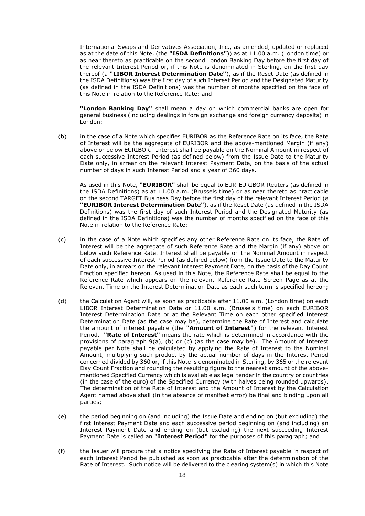International Swaps and Derivatives Association, Inc., as amended, updated or replaced as at the date of this Note, (the **"ISDA Definitions"**)) as at 11.00 a.m. (London time) or as near thereto as practicable on the second London Banking Day before the first day of the relevant Interest Period or, if this Note is denominated in Sterling, on the first day thereof (a **"LIBOR Interest Determination Date"**), as if the Reset Date (as defined in the ISDA Definitions) was the first day of such Interest Period and the Designated Maturity (as defined in the ISDA Definitions) was the number of months specified on the face of this Note in relation to the Reference Rate; and

**"London Banking Day"** shall mean a day on which commercial banks are open for general business (including dealings in foreign exchange and foreign currency deposits) in London;

(b) in the case of a Note which specifies EURIBOR as the Reference Rate on its face, the Rate of Interest will be the aggregate of EURIBOR and the above-mentioned Margin (if any) above or below EURIBOR. Interest shall be payable on the Nominal Amount in respect of each successive Interest Period (as defined below) from the Issue Date to the Maturity Date only, in arrear on the relevant Interest Payment Date, on the basis of the actual number of days in such Interest Period and a year of 360 days.

As used in this Note, **"EURIBOR"** shall be equal to EUR-EURIBOR-Reuters (as defined in the ISDA Definitions) as at 11.00 a.m. (Brussels time) or as near thereto as practicable on the second TARGET Business Day before the first day of the relevant Interest Period (a **"EURIBOR Interest Determination Date"**), as if the Reset Date (as defined in the ISDA Definitions) was the first day of such Interest Period and the Designated Maturity (as defined in the ISDA Definitions) was the number of months specified on the face of this Note in relation to the Reference Rate;

- (c) in the case of a Note which specifies any other Reference Rate on its face, the Rate of Interest will be the aggregate of such Reference Rate and the Margin (if any) above or below such Reference Rate. Interest shall be payable on the Nominal Amount in respect of each successive Interest Period (as defined below) from the Issue Date to the Maturity Date only, in arrears on the relevant Interest Payment Date, on the basis of the Day Count Fraction specified hereon. As used in this Note, the Reference Rate shall be equal to the Reference Rate which appears on the relevant Reference Rate Screen Page as at the Relevant Time on the Interest Determination Date as each such term is specified hereon;
- (d) the Calculation Agent will, as soon as practicable after 11.00 a.m. (London time) on each LIBOR Interest Determination Date or 11.00 a.m. (Brussels time) on each EURIBOR Interest Determination Date or at the Relevant Time on each other specified Interest Determination Date (as the case may be), determine the Rate of Interest and calculate the amount of interest payable (the **"Amount of Interest"**) for the relevant Interest Period. **"Rate of Interest"** means the rate which is determined in accordance with the provisions of paragraph 9(a), (b) or (c) (as the case may be). The Amount of Interest payable per Note shall be calculated by applying the Rate of Interest to the Nominal Amount, multiplying such product by the actual number of days in the Interest Period concerned divided by 360 or, if this Note is denominated in Sterling, by 365 or the relevant Day Count Fraction and rounding the resulting figure to the nearest amount of the abovementioned Specified Currency which is available as legal tender in the country or countries (in the case of the euro) of the Specified Currency (with halves being rounded upwards). The determination of the Rate of Interest and the Amount of Interest by the Calculation Agent named above shall (in the absence of manifest error) be final and binding upon all parties;
- (e) the period beginning on (and including) the Issue Date and ending on (but excluding) the first Interest Payment Date and each successive period beginning on (and including) an Interest Payment Date and ending on (but excluding) the next succeeding Interest Payment Date is called an **"Interest Period"** for the purposes of this paragraph; and
- (f) the Issuer will procure that a notice specifying the Rate of Interest payable in respect of each Interest Period be published as soon as practicable after the determination of the Rate of Interest. Such notice will be delivered to the clearing system(s) in which this Note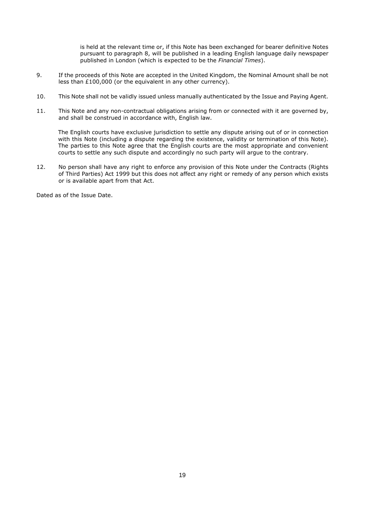is held at the relevant time or, if this Note has been exchanged for bearer definitive Notes pursuant to paragraph 8, will be published in a leading English language daily newspaper published in London (which is expected to be the *Financial Times*).

- 9. If the proceeds of this Note are accepted in the United Kingdom, the Nominal Amount shall be not less than £100,000 (or the equivalent in any other currency).
- 10. This Note shall not be validly issued unless manually authenticated by the Issue and Paying Agent.
- 11. This Note and any non-contractual obligations arising from or connected with it are governed by, and shall be construed in accordance with, English law.

The English courts have exclusive jurisdiction to settle any dispute arising out of or in connection with this Note (including a dispute regarding the existence, validity or termination of this Note). The parties to this Note agree that the English courts are the most appropriate and convenient courts to settle any such dispute and accordingly no such party will argue to the contrary.

12. No person shall have any right to enforce any provision of this Note under the Contracts (Rights of Third Parties) Act 1999 but this does not affect any right or remedy of any person which exists or is available apart from that Act.

Dated as of the Issue Date.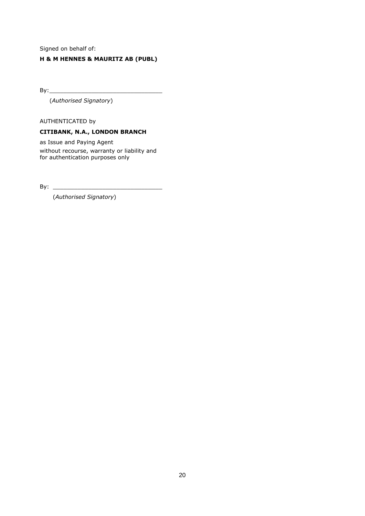Signed on behalf of:

## **H & M HENNES & MAURITZ AB (PUBL)**

 $By:$ 

(*Authorised Signatory*)

AUTHENTICATED by

## **CITIBANK, N.A., LONDON BRANCH**

as Issue and Paying Agent without recourse, warranty or liability and for authentication purposes only

By:  $\overline{\phantom{a}}$ 

(*Authorised Signatory*)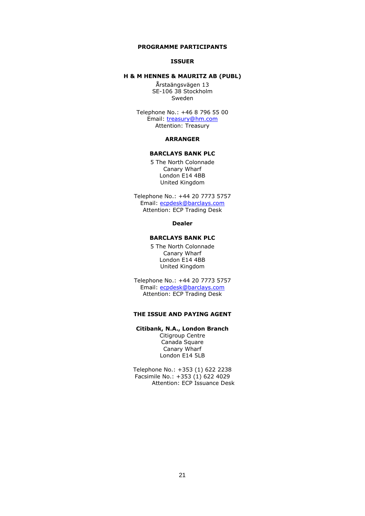#### <span id="page-25-0"></span>**PROGRAMME PARTICIPANTS**

#### **ISSUER**

### **H & M HENNES & MAURITZ AB (PUBL)**

Årstaängsvägen 13 SE-106 38 Stockholm Sweden

Telephone No.: +46 8 796 55 00 Email: [treasury@hm.com](mailto:treasury@hm.com) Attention: Treasury

#### **ARRANGER**

## **BARCLAYS BANK PLC**

5 The North Colonnade Canary Wharf London E14 4BB United Kingdom

Telephone No.: +44 20 7773 5757 Email: [ecpdesk@barclays.com](mailto:ecpdesk@barclays.com) Attention: ECP Trading Desk

#### **Dealer**

## **BARCLAYS BANK PLC**

5 The North Colonnade Canary Wharf London E14 4BB United Kingdom

Telephone No.: +44 20 7773 5757 Email: [ecpdesk@barclays.com](mailto:ecpdesk@barclays.com) Attention: ECP Trading Desk

## **THE ISSUE AND PAYING AGENT**

### **Citibank, N.A., London Branch**

Citigroup Centre Canada Square Canary Wharf London E14 5LB

Telephone No.: +353 (1) 622 2238 Facsimile No.: +353 (1) 622 4029 Attention: ECP Issuance Desk